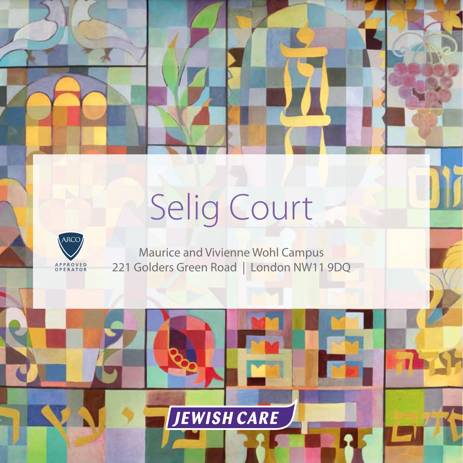# Selig Court



Maurice and Vivienne Wohl Campus 221 Golders Green Road | London NW11 9DQ

**JEWISH CARE**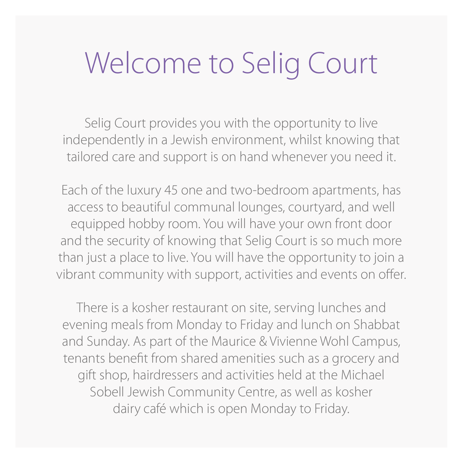# Welcome to Selig Court

Selig Court provides you with the opportunity to live independently in a Jewish environment, whilst knowing that tailored care and support is on hand whenever you need it.

Each of the luxury 45 one and two-bedroom apartments, has access to beautiful communal lounges, courtyard, and well equipped hobby room. You will have your own front door and the security of knowing that Selig Court is so much more than just a place to live. You will have the opportunity to join a vibrant community with support, activities and events on offer.

There is a kosher restaurant on site, serving lunches and evening meals from Monday to Friday and lunch on Shabbat and Sunday. As part of the Maurice & Vivienne Wohl Campus, tenants benefit from shared amenities such as a grocery and gift shop, hairdressers and activities held at the Michael Sobell Jewish Community Centre, as well as kosher dairy café which is open Monday to Friday.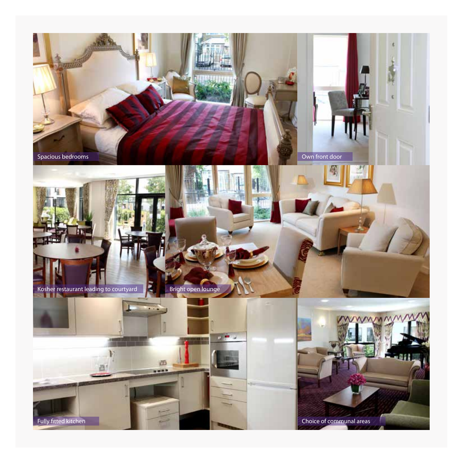